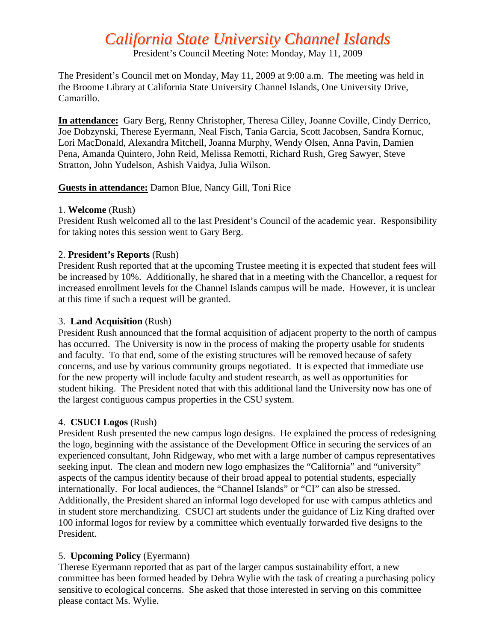# *California State University Channel Islands*

President's Council Meeting Note: Monday, May 11, 2009

The President's Council met on Monday, May 11, 2009 at 9:00 a.m. The meeting was held in the Broome Library at California State University Channel Islands, One University Drive, Camarillo.

**In attendance:** Gary Berg, Renny Christopher, Theresa Cilley, Joanne Coville, Cindy Derrico, Joe Dobzynski, Therese Eyermann, Neal Fisch, Tania Garcia, Scott Jacobsen, Sandra Kornuc, Lori MacDonald, Alexandra Mitchell, Joanna Murphy, Wendy Olsen, Anna Pavin, Damien Pena, Amanda Quintero, John Reid, Melissa Remotti, Richard Rush, Greg Sawyer, Steve Stratton, John Yudelson, Ashish Vaidya, Julia Wilson.

### **Guests in attendance:** Damon Blue, Nancy Gill, Toni Rice

#### 1. **Welcome** (Rush)

President Rush welcomed all to the last President's Council of the academic year. Responsibility for taking notes this session went to Gary Berg.

#### 2. **President's Reports** (Rush)

President Rush reported that at the upcoming Trustee meeting it is expected that student fees will be increased by 10%. Additionally, he shared that in a meeting with the Chancellor, a request for increased enrollment levels for the Channel Islands campus will be made. However, it is unclear at this time if such a request will be granted.

#### 3. **Land Acquisition** (Rush)

President Rush announced that the formal acquisition of adjacent property to the north of campus has occurred. The University is now in the process of making the property usable for students and faculty. To that end, some of the existing structures will be removed because of safety concerns, and use by various community groups negotiated. It is expected that immediate use for the new property will include faculty and student research, as well as opportunities for student hiking. The President noted that with this additional land the University now has one of the largest contiguous campus properties in the CSU system.

#### 4. **CSUCI Logos** (Rush)

President Rush presented the new campus logo designs. He explained the process of redesigning the logo, beginning with the assistance of the Development Office in securing the services of an experienced consultant, John Ridgeway, who met with a large number of campus representatives seeking input. The clean and modern new logo emphasizes the "California" and "university" aspects of the campus identity because of their broad appeal to potential students, especially internationally. For local audiences, the "Channel Islands" or "CI" can also be stressed. Additionally, the President shared an informal logo developed for use with campus athletics and in student store merchandizing. CSUCI art students under the guidance of Liz King drafted over 100 informal logos for review by a committee which eventually forwarded five designs to the President.

### 5. **Upcoming Policy** (Eyermann)

Therese Eyermann reported that as part of the larger campus sustainability effort, a new committee has been formed headed by Debra Wylie with the task of creating a purchasing policy sensitive to ecological concerns. She asked that those interested in serving on this committee please contact Ms. Wylie.